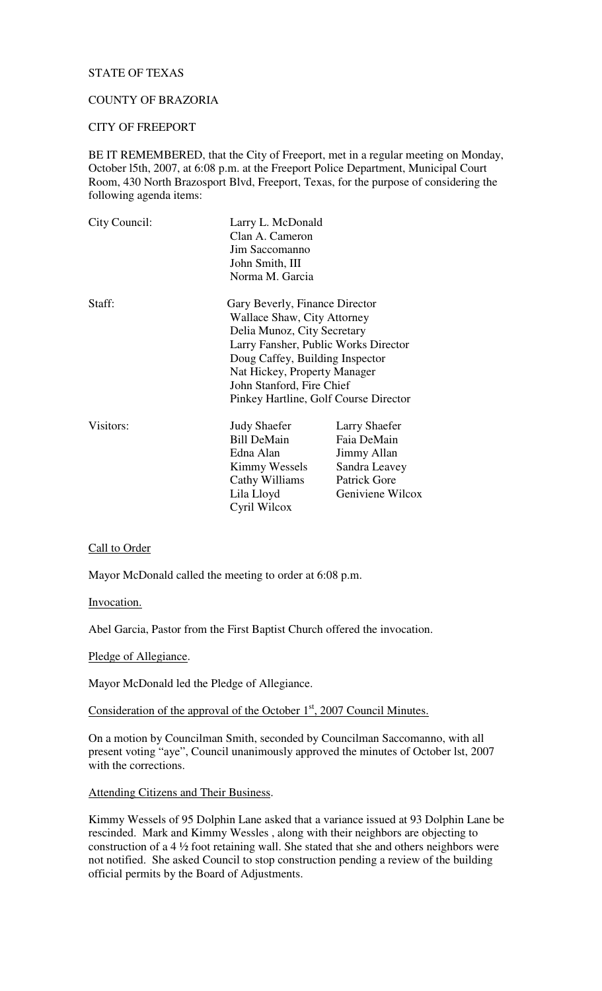## STATE OF TEXAS

# COUNTY OF BRAZORIA

## CITY OF FREEPORT

BE IT REMEMBERED, that the City of Freeport, met in a regular meeting on Monday, October l5th, 2007, at 6:08 p.m. at the Freeport Police Department, Municipal Court Room, 430 North Brazosport Blvd, Freeport, Texas, for the purpose of considering the following agenda items:

| City Council: | Larry L. McDonald<br>Clan A. Cameron  |                  |
|---------------|---------------------------------------|------------------|
|               |                                       |                  |
|               | Jim Saccomanno                        |                  |
|               | John Smith, III                       |                  |
|               | Norma M. Garcia                       |                  |
| Staff:        | Gary Beverly, Finance Director        |                  |
|               | Wallace Shaw, City Attorney           |                  |
|               | Delia Munoz, City Secretary           |                  |
|               | Larry Fansher, Public Works Director  |                  |
|               | Doug Caffey, Building Inspector       |                  |
|               | Nat Hickey, Property Manager          |                  |
|               | John Stanford, Fire Chief             |                  |
|               | Pinkey Hartline, Golf Course Director |                  |
| Visitors:     | <b>Judy Shaefer</b>                   | Larry Shaefer    |
|               | <b>Bill DeMain</b>                    | Faia DeMain      |
|               | Edna Alan                             | Jimmy Allan      |
|               | Kimmy Wessels                         | Sandra Leavey    |
|               | Cathy Williams                        | Patrick Gore     |
|               | Lila Lloyd                            | Geniviene Wilcox |
|               | Cyril Wilcox                          |                  |

#### Call to Order

Mayor McDonald called the meeting to order at 6:08 p.m.

Invocation.

Abel Garcia, Pastor from the First Baptist Church offered the invocation.

Pledge of Allegiance.

Mayor McDonald led the Pledge of Allegiance.

Consideration of the approval of the October  $1<sup>st</sup>$ , 2007 Council Minutes.

On a motion by Councilman Smith, seconded by Councilman Saccomanno, with all present voting "aye", Council unanimously approved the minutes of October lst, 2007 with the corrections.

Attending Citizens and Their Business.

Kimmy Wessels of 95 Dolphin Lane asked that a variance issued at 93 Dolphin Lane be rescinded. Mark and Kimmy Wessles , along with their neighbors are objecting to construction of a 4 ½ foot retaining wall. She stated that she and others neighbors were not notified. She asked Council to stop construction pending a review of the building official permits by the Board of Adjustments.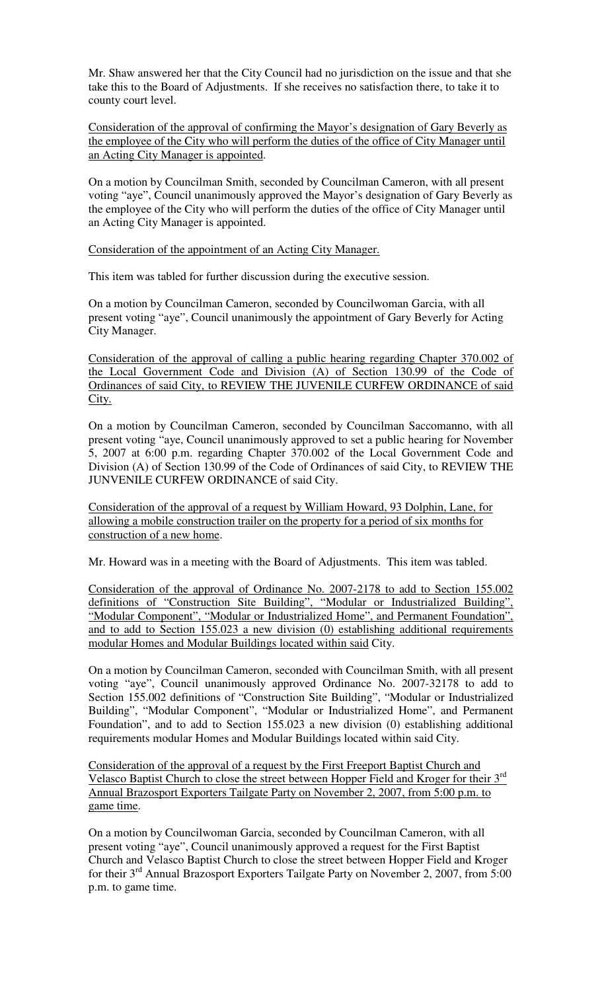Mr. Shaw answered her that the City Council had no jurisdiction on the issue and that she take this to the Board of Adjustments. If she receives no satisfaction there, to take it to county court level.

Consideration of the approval of confirming the Mayor's designation of Gary Beverly as the employee of the City who will perform the duties of the office of City Manager until an Acting City Manager is appointed.

On a motion by Councilman Smith, seconded by Councilman Cameron, with all present voting "aye", Council unanimously approved the Mayor's designation of Gary Beverly as the employee of the City who will perform the duties of the office of City Manager until an Acting City Manager is appointed.

Consideration of the appointment of an Acting City Manager.

This item was tabled for further discussion during the executive session.

On a motion by Councilman Cameron, seconded by Councilwoman Garcia, with all present voting "aye", Council unanimously the appointment of Gary Beverly for Acting City Manager.

Consideration of the approval of calling a public hearing regarding Chapter 370.002 of the Local Government Code and Division (A) of Section 130.99 of the Code of Ordinances of said City, to REVIEW THE JUVENILE CURFEW ORDINANCE of said City.

On a motion by Councilman Cameron, seconded by Councilman Saccomanno, with all present voting "aye, Council unanimously approved to set a public hearing for November 5, 2007 at 6:00 p.m. regarding Chapter 370.002 of the Local Government Code and Division (A) of Section 130.99 of the Code of Ordinances of said City, to REVIEW THE JUNVENILE CURFEW ORDINANCE of said City.

Consideration of the approval of a request by William Howard, 93 Dolphin, Lane, for allowing a mobile construction trailer on the property for a period of six months for construction of a new home.

Mr. Howard was in a meeting with the Board of Adjustments. This item was tabled.

Consideration of the approval of Ordinance No. 2007-2178 to add to Section 155.002 definitions of "Construction Site Building", "Modular or Industrialized Building", "Modular Component", "Modular or Industrialized Home", and Permanent Foundation", and to add to Section 155.023 a new division (0) establishing additional requirements modular Homes and Modular Buildings located within said City.

On a motion by Councilman Cameron, seconded with Councilman Smith, with all present voting "aye", Council unanimously approved Ordinance No. 2007-32178 to add to Section 155.002 definitions of "Construction Site Building", "Modular or Industrialized Building", "Modular Component", "Modular or Industrialized Home", and Permanent Foundation", and to add to Section 155.023 a new division (0) establishing additional requirements modular Homes and Modular Buildings located within said City.

Consideration of the approval of a request by the First Freeport Baptist Church and Velasco Baptist Church to close the street between Hopper Field and Kroger for their 3<sup>rd</sup> Annual Brazosport Exporters Tailgate Party on November 2, 2007, from 5:00 p.m. to game time.

On a motion by Councilwoman Garcia, seconded by Councilman Cameron, with all present voting "aye", Council unanimously approved a request for the First Baptist Church and Velasco Baptist Church to close the street between Hopper Field and Kroger for their  $3<sup>rd</sup>$  Annual Brazosport Exporters Tailgate Party on November 2, 2007, from 5:00 p.m. to game time.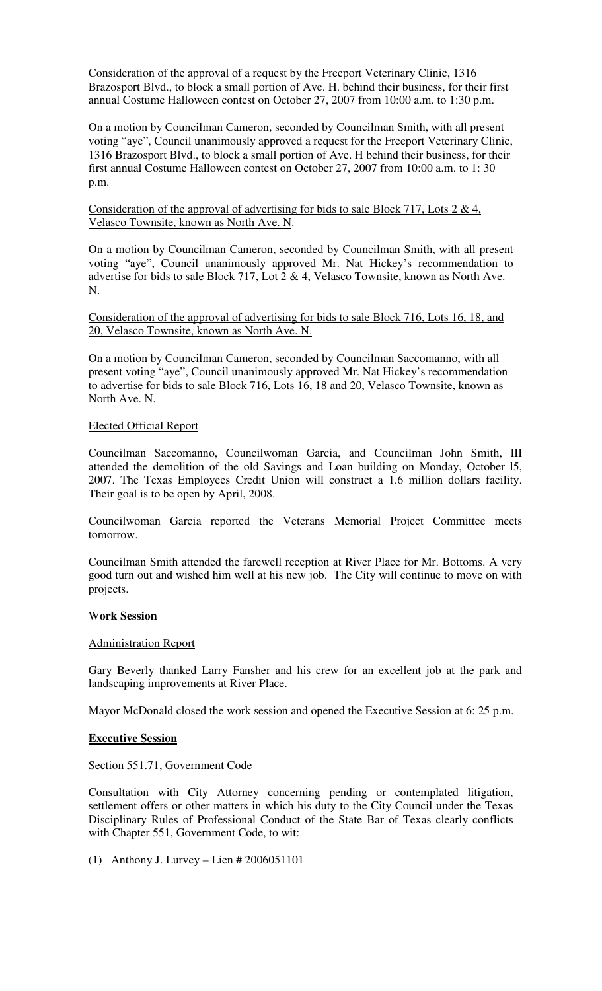Consideration of the approval of a request by the Freeport Veterinary Clinic, 1316 Brazosport Blvd., to block a small portion of Ave. H. behind their business, for their first annual Costume Halloween contest on October 27, 2007 from 10:00 a.m. to 1:30 p.m.

On a motion by Councilman Cameron, seconded by Councilman Smith, with all present voting "aye", Council unanimously approved a request for the Freeport Veterinary Clinic, 1316 Brazosport Blvd., to block a small portion of Ave. H behind their business, for their first annual Costume Halloween contest on October 27, 2007 from 10:00 a.m. to 1: 30 p.m.

Consideration of the approval of advertising for bids to sale Block 717, Lots 2 & 4, Velasco Townsite, known as North Ave. N.

On a motion by Councilman Cameron, seconded by Councilman Smith, with all present voting "aye", Council unanimously approved Mr. Nat Hickey's recommendation to advertise for bids to sale Block 717, Lot 2 & 4, Velasco Townsite, known as North Ave. N.

Consideration of the approval of advertising for bids to sale Block 716, Lots 16, 18, and 20, Velasco Townsite, known as North Ave. N.

On a motion by Councilman Cameron, seconded by Councilman Saccomanno, with all present voting "aye", Council unanimously approved Mr. Nat Hickey's recommendation to advertise for bids to sale Block 716, Lots 16, 18 and 20, Velasco Townsite, known as North Ave. N.

### Elected Official Report

Councilman Saccomanno, Councilwoman Garcia, and Councilman John Smith, III attended the demolition of the old Savings and Loan building on Monday, October l5, 2007. The Texas Employees Credit Union will construct a 1.6 million dollars facility. Their goal is to be open by April, 2008.

Councilwoman Garcia reported the Veterans Memorial Project Committee meets tomorrow.

Councilman Smith attended the farewell reception at River Place for Mr. Bottoms. A very good turn out and wished him well at his new job. The City will continue to move on with projects.

## W**ork Session**

#### Administration Report

Gary Beverly thanked Larry Fansher and his crew for an excellent job at the park and landscaping improvements at River Place.

Mayor McDonald closed the work session and opened the Executive Session at 6: 25 p.m.

#### **Executive Session**

Section 551.71, Government Code

Consultation with City Attorney concerning pending or contemplated litigation, settlement offers or other matters in which his duty to the City Council under the Texas Disciplinary Rules of Professional Conduct of the State Bar of Texas clearly conflicts with Chapter 551, Government Code, to wit:

(1) Anthony J. Lurvey – Lien # 2006051101